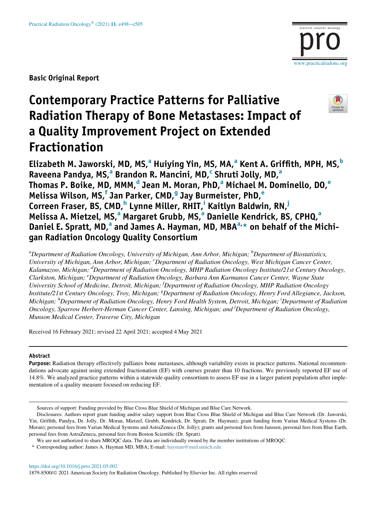Basic Original Report

# Contemporary Practice Patterns for Palliative Radiation Therapy of Bone Metastases: Impact of a Quality Improvement Project on Extended Fractionation



[www.practicalradonc.org](http://www.practicalradonc.org)

Eliz[a](#page-0-0)[b](#page-0-0)eth M. Jaworski, MD, MS, $^{\circ}$  Huiying Yin, MS, MA, $^{\circ}$  Kent A. Griffith, MPH, MS, $^{\circ}$ R[a](#page-0-0)veena Pandya, MS,<sup>a</sup> Brandon R. Man[c](#page-0-1)ini, MD,<sup>c</sup> Shruti Jolly, MD,<sup>a</sup> Thom[a](#page-0-0)s P. Boik[e](#page-0-3), MD, MMM, $<sup>d</sup>$  Jean M. Moran, PhD, $<sup>a</sup>$  Michael M. Dominello, DO, $<sup>e</sup>$ </sup></sup></sup> Melissa Wilson, MS,<sup>[f](#page-0-4)</sup> Jan Parker, CMD,<sup>[g](#page-0-5)</sup> Jay Burm[e](#page-0-3)ister, PhD,<sup>e</sup> Correen Fraser, BS, CMD,<sup>[h](#page-0-6)</sup> Lynne M[i](#page-0-6)ller, RHIT,<sup>i</sup> Kaitlyn Baldwin, RN,<sup>[j](#page-0-7)</sup> Meliss[a](#page-0-0) A. Mietzel, MS,<sup>a</sup> Margaret Grubb, MS,<sup>a</sup> Danielle Kendrick, BS, CPHQ,<sup>a</sup> D[a](#page-0-0)niel E. Spratt, MD,<sup>a</sup> and James A. Hayman, MD, MBA<sup>[a,](#page-0-0)[\\*](#page-0-8)</sup> on behalf of the Michigan Radiation Oncology Quality Consortium

<span id="page-0-5"></span><span id="page-0-4"></span><span id="page-0-3"></span><span id="page-0-2"></span><span id="page-0-1"></span><span id="page-0-0"></span> $^a$ Department of Radiation Oncology, University of Michigan, Ann Arbor, Michigan;  $^b$ Department of Biostatistics, University of Michigan, Ann Arbor, Michigan; <sup>c</sup>Department of Radiation Oncology, West Michigan Cancer Center, Kalamazoo, Michigan; <sup>d</sup>Department of Radiation Oncology, MHP Radiation Oncology Institute/21st Century Oncology, Clarkston, Michigan; <sup>e</sup> Department of Radiation Oncology, Barbara Ann Karmanos Cancer Center, Wayne State University School of Medicine, Detroit, Michigan; <sup>f</sup>Department of Radiation Oncology, MHP Radiation Oncology Institute/21st Century Oncology, Troy, Michigan; <sup>g</sup>Department of Radiation Oncology, Henry Ford Allegiance, Jackson, Michigan; <sup>h</sup>Department of Radiation Oncology, Henry Ford Health System, Detroit, Michigan; <sup>i</sup>Department of Radiation Oncology, Sparrow Herbert-Herman Cancer Center, Lansing, Michigan; and <sup>j</sup>Department of Radiation Oncology, Munson Medical Center, Traverse City, Michigan

<span id="page-0-7"></span><span id="page-0-6"></span>Received 16 February 2021; revised 22 April 2021; accepted 4 May 2021

#### Abstract

Purpose: Radiation therapy effectively palliates bone metastases, although variability exists in practice patterns. National recommendations advocate against using extended fractionation (EF) with courses greater than 10 fractions. We previously reported EF use of 14.8%. We analyzed practice patterns within a statewide quality consortium to assess EF use in a larger patient population after implementation of a quality measure focused on reducing EF.

<https://doi.org/10.1016/j.prro.2021.05.002> 1879-8500/© 2021 American Society for Radiation Oncology. Published by Elsevier Inc. All rights reserved.

Sources of support: Funding provided by Blue Cross Blue Shield of Michigan and Blue Care Network.

Disclosures: Authors report grant funding and/or salary support from Blue Cross Blue Shield of Michigan and Blue Care Network (Dr. Jaworski, Yin, Griffith, Pandya, Dr. Jolly, Dr. Moran, Mietzel, Grubb, Kendrick, Dr. Spratt, Dr. Hayman); grant funding from Varian Medical Systems (Dr. Moran); personal fees from Varian Medical Systems and AstraZeneca (Dr. Jolly); grants and personal fees from Janssen, personal fees from Blue Earth, personal fees from AstraZeneca, personal fees from Boston Scientific (Dr. Spratt).

We are not authorized to share MROQC data. The data are individually owned by the member institutions of MROQC.

<span id="page-0-8"></span><sup>\*</sup> Corresponding author: James A. Hayman MD, MBA; E-mail: [hayman@med.umich.edu](mailto:hayman@med.umich.edu)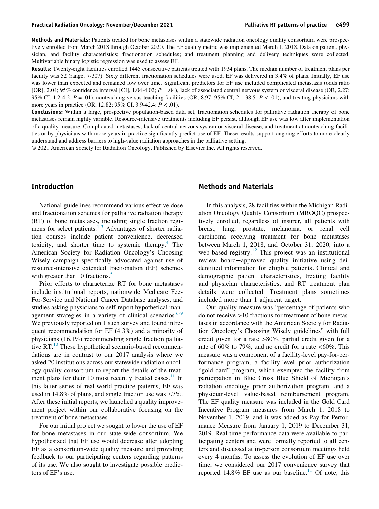Methods and Materials: Patients treated for bone metastases within a statewide radiation oncology quality consortium were prospectively enrolled from March 2018 through October 2020. The EF quality metric was implemented March 1, 2018. Data on patient, physician, and facility characteristics; fractionation schedules; and treatment planning and delivery techniques were collected. Multivariable binary logistic regression was used to assess EF.

Results: Twenty-eight facilities enrolled 1445 consecutive patients treated with 1934 plans. The median number of treatment plans per facility was 52 (range, 7-307). Sixty different fractionation schedules were used. EF was delivered in 3.4% of plans. Initially, EF use was lower than expected and remained low over time. Significant predictors for EF use included complicated metastasis (odds ratio [OR], 2.04; 95% confidence interval [CI], 1.04-4.02;  $P = .04$ ), lack of associated central nervous system or visceral disease (OR, 2.27; 95% CI, 1.2-4.2;  $P = .01$ ), nonteaching versus teaching facilities (OR, 8.97; 95% CI, 2.1-38.5;  $P < .01$ ), and treating physicians with more years in practice (OR, 12.82; 95% CI, 3.9-42.4;  $P < .01$ ).

Conclusions: Within a large, prospective population-based data set, fractionation schedules for palliative radiation therapy of bone metastases remain highly variable. Resource-intensive treatments including EF persist, although EF use was low after implementation of a quality measure. Complicated metastases, lack of central nervous system or visceral disease, and treatment at nonteaching facilities or by physicians with more years in practice significantly predict use of EF. These results support ongoing efforts to more clearly understand and address barriers to high-value radiation approaches in the palliative setting.

2021 American Society for Radiation Oncology. Published by Elsevier Inc. All rights reserved.

### Introduction

National guidelines recommend various effective dose and fractionation schemes for palliative radiation therapy (RT) of bone metastases, including single fraction regimens for select patients. $1-3$  Advantages of shorter radiation courses include patient convenience, decreased toxicity, and shorter time to systemic therapy. $4$  The American Society for Radiation Oncology's Choosing Wisely campaign specifically advocated against use of resource-intensive extended fractionation (EF) schemes with greater than 10 fractions. $\overline{5}$  $\overline{5}$  $\overline{5}$ 

Prior efforts to characterize RT for bone metastases include institutional reports, nationwide Medicare Fee-For-Service and National Cancer Database analyses, and studies asking physicians to self-report hypothetical management strategies in a variety of clinical scenarios. $6-9$ We previously reported on 1 such survey and found infrequent recommendation for EF (4.3%) and a minority of physicians (16.1%) recommending single fraction palliative  $RT<sup>10</sup>$  $RT<sup>10</sup>$  $RT<sup>10</sup>$  These hypothetical scenario-based recommendations are in contrast to our 2017 analysis where we asked 20 institutions across our statewide radiation oncology quality consortium to report the details of the treat-ment plans for their 10 most recently treated cases.<sup>[11](#page-7-5)</sup> In this latter series of real-world practice patterns, EF was used in 14.8% of plans, and single fraction use was 7.7%. After these initial reports, we launched a quality improvement project within our collaborative focusing on the treatment of bone metastases.

For our initial project we sought to lower the use of EF for bone metastases in our state-wide consortium. We hypothesized that EF use would decrease after adopting EF as a consortium-wide quality measure and providing feedback to our participating centers regarding patterns of its use. We also sought to investigate possible predictors of EF's use.

## Methods and Materials

In this analysis, 28 facilities within the Michigan Radiation Oncology Quality Consortium (MROQC) prospectively enrolled, regardless of insurer, all patients with breast, lung, prostate, melanoma, or renal cell carcinoma receiving treatment for bone metastases between March 1, 2018, and October 31, 2020, into a web-based registry.<sup>[12](#page-7-6)</sup> This project was an institutional review board−approved quality initiative using deidentified information for eligible patients. Clinical and demographic patient characteristics, treating facility and physician characteristics, and RT treatment plan details were collected. Treatment plans sometimes included more than 1 adjacent target.

Our quality measure was "percentage of patients who do not receive >10 fractions for treatment of bone metastases in accordance with the American Society for Radiation Oncology's Choosing Wisely guidelines" with full credit given for a rate >80%, partial credit given for a rate of 60% to 79%, and no credit for a rate  $\langle 60\% \rangle$ . This measure was a component of a facility-level pay-for-performance program, a facility-level prior authorization "gold card" program, which exempted the facility from participation in Blue Cross Blue Shield of Michigan's radiation oncology prior authorization program, and a physician-level value-based reimbursement program. The EF quality measure was included in the Gold Card Incentive Program measures from March 1, 2018 to November 1, 2019, and it was added as Pay-for-Performance Measure from January 1, 2019 to December 31, 2019. Real-time performance data were available to participating centers and were formally reported to all centers and discussed at in-person consortium meetings held every 4 months. To assess the evolution of EF use over time, we considered our 2017 convenience survey that reported 14.8% EF use as our baseline. $11$  Of note, this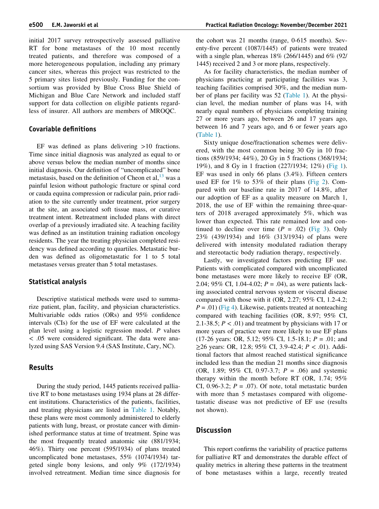initial 2017 survey retrospectively assessed palliative RT for bone metastases of the 10 most recently treated patients, and therefore was composed of a more heterogeneous population, including any primary cancer sites, whereas this project was restricted to the 5 primary sites listed previously. Funding for the consortium was provided by Blue Cross Blue Shield of Michigan and Blue Care Network and included staff support for data collection on eligible patients regardless of insurer. All authors are members of MROQC.

#### Covariable definitions

EF was defined as plans delivering >10 fractions. Time since initial diagnosis was analyzed as equal to or above versus below the median number of months since initial diagnosis. Our definition of "uncomplicated" bone metastasis, based on the definition of Cheon et al,  $^{13}$  $^{13}$  $^{13}$  was a painful lesion without pathologic fracture or spinal cord or cauda equina compression or radicular pain, prior radiation to the site currently under treatment, prior surgery at the site, an associated soft tissue mass, or curative treatment intent. Retreatment included plans with direct overlap of a previously irradiated site. A teaching facility was defined as an institution training radiation oncology residents. The year the treating physician completed residency was defined according to quartiles. Metastatic burden was defined as oligometastatic for 1 to 5 total metastases versus greater than 5 total metastases.

#### Statistical analysis

Descriptive statistical methods were used to summarize patient, plan, facility, and physician characteristics. Multivariable odds ratios (ORs) and 95% confidence intervals (CIs) for the use of EF were calculated at the plan level using a logistic regression model. P values < .05 were considered significant. The data were analyzed using SAS Version 9.4 (SAS Institute, Cary, NC).

#### Results

During the study period, 1445 patients received palliative RT to bone metastases using 1934 plans at 28 different institutions. Characteristics of the patients, facilities, and treating physicians are listed in [Table 1](#page-3-0). Notably, these plans were most commonly administered to elderly patients with lung, breast, or prostate cancer with diminished performance status at time of treatment. Spine was the most frequently treated anatomic site (881/1934; 46%). Thirty one percent (595/1934) of plans treated uncomplicated bone metastases, 55% (1074/1934) targeted single bony lesions, and only 9% (172/1934) involved retreatment. Median time since diagnosis for the cohort was 21 months (range, 0-615 months). Seventy-five percent (1087/1445) of patients were treated with a single plan, whereas 18% (266/1445) and 6% (92/ 1445) received 2 and 3 or more plans, respectively.

As for facility characteristics, the median number of physicians practicing at participating facilities was 3, teaching facilities comprised 30%, and the median number of plans per facility was 52 ([Table 1](#page-3-0)). At the physician level, the median number of plans was 14, with nearly equal numbers of physicians completing training 27 or more years ago, between 26 and 17 years ago, between 16 and 7 years ago, and 6 or fewer years ago [\(Table 1\)](#page-3-0).

Sixty unique dose/fractionation schemes were delivered, with the most common being 30 Gy in 10 fractions (859/1934; 44%), 20 Gy in 5 fractions (368/1934; 19%), and 8 Gy in 1 fraction (227/1934; 12%) [\(Fig 1](#page-4-0)). EF was used in only 66 plans (3.4%). Fifteen centers used EF for 1% to 53% of their plans ([Fig 2\)](#page-5-0). Compared with our baseline rate in 2017 of 14.8%, after our adoption of EF as a quality measure on March 1, 2018, the use of EF within the remaining three-quarters of 2018 averaged approximately 5%, which was lower than expected. This rate remained low and continued to decline over time  $(P = .02)$  [\(Fig 3\)](#page-5-1). Only 23% (439/1934) and 16% (313/1934) of plans were delivered with intensity modulated radiation therapy and stereotactic body radiation therapy, respectively.

Lastly, we investigated factors predicting EF use. Patients with complicated compared with uncomplicated bone metastases were more likely to receive EF (OR, 2.04; 95% CI, 1.04-4.02;  $P = .04$ ), as were patients lacking associated central nervous system or visceral disease compared with those with it  $(OR, 2.27; 95\% \text{ CI}, 1.2-4.2;$  $P = .01$ ) [\(Fig 4\)](#page-6-0). Likewise, patients treated at nonteaching compared with teaching facilities (OR, 8.97; 95% CI, 2.1-38.5;  $P < .01$ ) and treatment by physicians with 17 or more years of practice were more likely to use EF plans (17-26 years: OR, 5.12; 95% CI, 1.5-18.1;  $P = .01$ ; and ≥26 years: OR, 12.8; 95% CI, 3.9-42.4; P < .01). Additional factors that almost reached statistical significance included less than the median 21 months since diagnosis (OR, 1.89; 95% CI, 0.97-3.7;  $P = .06$ ) and systemic therapy within the month before RT (OR, 1.74; 95% CI, 0.96-3.2;  $P = .07$ ). Of note, total metastatic burden with more than 5 metastases compared with oligometastatic disease was not predictive of EF use (results not shown).

#### **Discussion**

This report confirms the variability of practice patterns for palliative RT and demonstrates the durable effect of quality metrics in altering these patterns in the treatment of bone metastases within a large, recently treated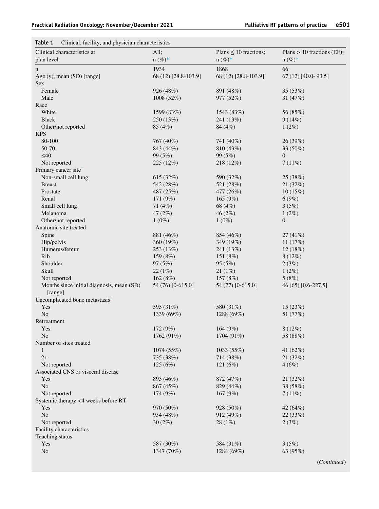# <span id="page-3-0"></span>Table 1 Clinical, facility, and physician characteristics

| Clinical characteristics at                   | All;<br>$n (\%)^*$    | Plans $\leq 10$ fractions; | Plans $> 10$ fractions (EF); |
|-----------------------------------------------|-----------------------|----------------------------|------------------------------|
| plan level                                    |                       | $n (\%)^*$                 | $n (\%)^*$                   |
| n                                             | 1934                  | 1868                       | 66                           |
| Age (y), mean (SD) [range]                    | 68 (12) [28.8-103.9]  | 68 (12) [28.8-103.9]       | $67(12)$ [40.0-93.5]         |
| <b>Sex</b>                                    |                       |                            |                              |
| Female                                        | 926 (48%)             | 891 (48%)                  | 35 (53%)                     |
| Male                                          | 1008 (52%)            | 977 (52%)                  | 31 $(47%)$                   |
| Race                                          |                       |                            |                              |
| White                                         | 1599 (83%)            | 1543 (83%)                 | 56 (85%)                     |
| <b>Black</b>                                  | 250 (13%)             | 241 (13%)                  | 9(14%)                       |
| Other/not reported<br><b>KPS</b>              | 85 (4%)               | 84 (4%)                    | $1(2\%)$                     |
| 80-100                                        |                       |                            |                              |
|                                               | 767 (40%)             | 741 (40%)                  | 26 (39%)                     |
| 50-70                                         | 843 (44%)             | 810 (43%)                  | 33 $(50\%)$<br>$\mathbf{0}$  |
| $\leq 40$<br>Not reported                     | 99(5%)<br>225(12%)    | 99 (5%)                    |                              |
| Primary cancer site <sup>†</sup>              |                       | 218 (12%)                  | 7(11%)                       |
| Non-small cell lung                           | 615(32%)              |                            |                              |
| <b>Breast</b>                                 |                       | 590 (32%)                  | 25 (38%)                     |
| Prostate                                      | 542 (28%)             | 521 (28%)                  | 21(32%)<br>10(15%)           |
| Renal                                         | 487 (25%)<br>171 (9%) | 477 (26%)<br>165 $(9%)$    | 6(9%)                        |
| Small cell lung                               | 71 (4%)               | 68 (4%)                    | 3(5%)                        |
| Melanoma                                      | 47 (2%)               | 46(2%)                     | $1(2\%)$                     |
| Other/not reported                            | $1(0\%)$              | $1(0\%)$                   | $\mathbf{0}$                 |
| Anatomic site treated                         |                       |                            |                              |
| Spine                                         | 881 (46%)             | 854 (46%)                  | 27(41%)                      |
| Hip/pelvis                                    | 360 (19%)             | 349 (19%)                  | 11 $(17%)$                   |
| Humerus/femur                                 | 253(13%)              |                            |                              |
| Rib                                           | 159(8%)               | 241 (13%)<br>151 (8%)      | 12(18%)<br>$8(12\%)$         |
| Shoulder                                      | 97(5%)                | 95(5%)                     | 2(3%)                        |
| Skull                                         |                       | 21(1%)                     |                              |
| Not reported                                  | 22(1%)<br>162 (8%)    | 157 (8%)                   | $1(2\%)$<br>5(8%)            |
| Months since initial diagnosis, mean (SD)     | 54 (76) [0-615.0]     | 54 (77) [0-615.0]          | 46 (65) [0.6-227.5]          |
| [range]                                       |                       |                            |                              |
| Uncomplicated bone metastasis $\overline{\ }$ |                       |                            |                              |
| Yes                                           | 595 (31%)             | 580 (31%)                  | 15(23%)                      |
| N <sub>o</sub>                                | 1339 (69%)            | 1288 (69%)                 | 51 (77%)                     |
| Retreatment                                   |                       |                            |                              |
| Yes                                           | 172 (9%)              | 164 (9%)                   | $8(12\%)$                    |
| N <sub>o</sub>                                | 1762 (91%)            | 1704 (91%)                 | 58 (88%)                     |
| Number of sites treated                       |                       |                            |                              |
| 1                                             | 1074(55%)             | 1033 (55%)                 | 41 $(62\%)$                  |
| $2+$                                          | 735 (38%)             | 714 (38%)                  | 21 (32%)                     |
| Not reported                                  | 125(6%)               | 121(6%)                    | 4(6%)                        |
| Associated CNS or visceral disease            |                       |                            |                              |
| Yes                                           | 893 (46%)             | 872 (47%)                  | 21 (32%)                     |
| No                                            | 867(45%)              | 829 (44%)                  | 38 (58%)                     |
| Not reported                                  | 174(9%)               | 167(9%)                    | 7(11%)                       |
| Systemic therapy <4 weeks before RT           |                       |                            |                              |
| Yes                                           | 970 (50%)             | 928 (50%)                  | 42 $(64\%)$                  |
| No                                            | 934 (48%)             | 912 (49%)                  | 22(33%)                      |
| Not reported                                  | $30(2\%)$             | 28(1%)                     | 2(3%)                        |
| Facility characteristics                      |                       |                            |                              |
| Teaching status                               |                       |                            |                              |
| Yes                                           | 587 (30%)             | 584 (31%)                  | 3(5%)                        |
| N <sub>o</sub>                                | 1347 (70%)            | 1284 (69%)                 | 63 (95%)                     |
|                                               |                       |                            |                              |
|                                               |                       |                            | (Continued)                  |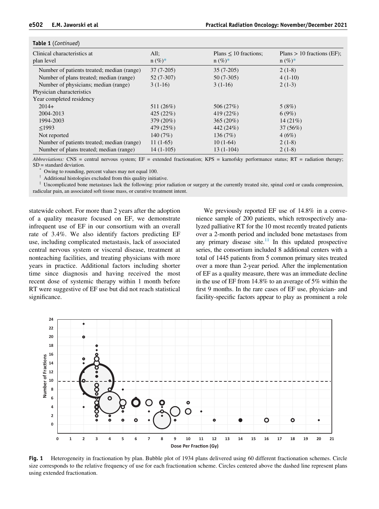#### Table 1 (Continued)

| Clinical characteristics at                | All:        | Plans $\leq 10$ fractions; | Plans $> 10$ fractions (EF); |
|--------------------------------------------|-------------|----------------------------|------------------------------|
| plan level                                 | $n (\%)^*$  | $n (\%)^*$                 | $n (\%)^*$                   |
| Number of patients treated; median (range) | $37(7-205)$ | $35(7-205)$                | $2(1-8)$                     |
| Number of plans treated; median (range)    | $52(7-307)$ | $50(7-305)$                | $4(1-10)$                    |
| Number of physicians; median (range)       | $3(1-16)$   | $3(1-16)$                  | $2(1-3)$                     |
| Physician characteristics                  |             |                            |                              |
| Year completed residency                   |             |                            |                              |
| $2014+$                                    | 511 (26%)   | 506 (27%)                  | 5(8%)                        |
| 2004-2013                                  | 425(22%)    | 419 $(22%)$                | 6(9%)                        |
| 1994-2003                                  | 379 (20%)   | $365(20\%)$                | $14(21\%)$                   |
| $<$ 1993                                   | 479 (25%)   | 442 (24%)                  | 37(56%)                      |
| Not reported                               | 140 $(7%)$  | 136(7%)                    | 4(6%)                        |
| Number of patients treated; median (range) | $11(1-65)$  | $10(1-64)$                 | $2(1-8)$                     |
| Number of plans treated; median (range)    | $14(1-105)$ | $13(1-104)$                | $2(1-8)$                     |

<span id="page-4-2"></span><span id="page-4-1"></span>Abbreviations: CNS = central nervous system;  $EF =$  extended fractionation;  $KPS =$  karnofsky performance status;  $RT =$  radiation therapy;

Owing to rounding, percent values may not equal 100.

Additional histologies excluded from this quality initiative.

<span id="page-4-3"></span> $*$  Uncomplicated bone metastases lack the following: prior radiation or surgery at the currently treated site, spinal cord or cauda compression, radicular pain, an associated soft tissue mass, or curative treatment intent.

statewide cohort. For more than 2 years after the adoption of a quality measure focused on EF, we demonstrate infrequent use of EF in our consortium with an overall rate of 3.4%. We also identify factors predicting EF use, including complicated metastasis, lack of associated central nervous system or visceral disease, treatment at nonteaching facilities, and treating physicians with more years in practice. Additional factors including shorter time since diagnosis and having received the most recent dose of systemic therapy within 1 month before RT were suggestive of EF use but did not reach statistical significance.

We previously reported EF use of 14.8% in a convenience sample of 200 patients, which retrospectively analyzed palliative RT for the 10 most recently treated patients over a 2-month period and included bone metastases from any primary disease site. $11$  In this updated prospective series, the consortium included 8 additional centers with a total of 1445 patients from 5 common primary sites treated over a more than 2-year period. After the implementation of EF as a quality measure, there was an immediate decline in the use of EF from 14.8% to an average of 5% within the first 9 months. In the rare cases of EF use, physician- and facility-specific factors appear to play as prominent a role

<span id="page-4-0"></span>

Fig. 1 Heterogeneity in fractionation by plan. Bubble plot of 1934 plans delivered using 60 different fractionation schemes. Circle size corresponds to the relative frequency of use for each fractionation scheme. Circles centered above the dashed line represent plans using extended fractionation.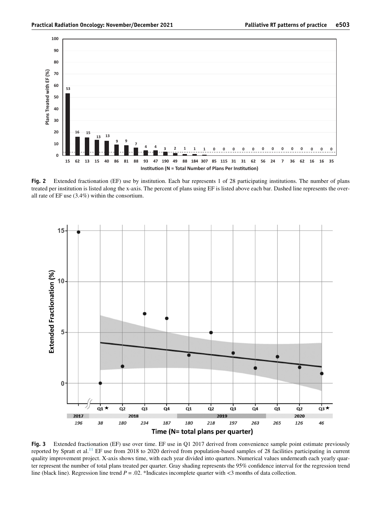<span id="page-5-0"></span>

Fig. 2 Extended fractionation (EF) use by institution. Each bar represents 1 of 28 participating institutions. The number of plans treated per institution is listed along the x-axis. The percent of plans using EF is listed above each bar. Dashed line represents the overall rate of EF use (3.4%) within the consortium.

<span id="page-5-1"></span>

Fig. 3 Extended fractionation (EF) use over time. EF use in Q1 2017 derived from convenience sample point estimate previously reported by Spratt et al.<sup>[11](#page-7-5)</sup> EF use from 2018 to 2020 derived from population-based samples of 28 facilities participating in current quality improvement project. X-axis shows time, with each year divided into quarters. Numerical values underneath each yearly quarter represent the number of total plans treated per quarter. Gray shading represents the 95% confidence interval for the regression trend line (black line). Regression line trend  $P = .02$ . \*Indicates incomplete quarter with  $\lt 3$  months of data collection.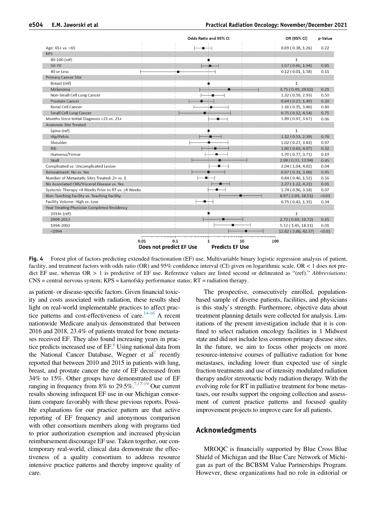<span id="page-6-0"></span>

|                                                    | Odds Ratio and 95% CI | OR (95% CI)         | p-Value |
|----------------------------------------------------|-----------------------|---------------------|---------|
| Age: 65+ vs. <65                                   |                       | 0.69(0.38, 1.26)    | 0.22    |
| <b>KPS</b>                                         |                       |                     |         |
| 80-100 (ref)                                       |                       | $\mathbf{1}$        |         |
| 50-70                                              |                       | 1.07(0.60, 1.94)    | 0.81    |
| 40 or Less                                         |                       | 0.12(0.01, 1.58)    | 0.11    |
| <b>Primary Cancer Site</b>                         |                       |                     |         |
| Breast (ref)                                       |                       | $\mathbf{1}$        |         |
| Melanoma                                           |                       | 3.75 (0.49, 29.02)  | 0.21    |
| Non-Small Cell Lung Cancer                         |                       | 1.32 (0.59, 2.93)   | 0.50    |
| <b>Prostate Cancer</b>                             |                       | 0.64(0.27, 1.49)    | 0.30    |
| <b>Renal Cell Cancer</b>                           |                       | 1.16(0.35, 3.86)    | 0.80    |
| <b>Small Cell Lung Cancer</b>                      |                       | 0.75(0.12, 4.54)    | 0.75    |
| Months Since Initial Diagnosis <21 vs. 21+         |                       | 1.89 (0.97, 3.67)   | 0.06    |
| <b>Anatomic Site Treated</b>                       |                       |                     |         |
| Spine (ref)                                        |                       | $\mathbf{1}$        |         |
| Hip/Pelvis                                         |                       | 1.12(0.53, 2.39)    | 0.76    |
| Shoulder                                           |                       | 1.02(0.27, 3.83)    | 0.97    |
| <b>Rib</b>                                         |                       | 1.60(0.63, 4.07)    | 0.32    |
| Humerus/Femur                                      |                       | 1.70(0.77, 3.71)    | 0.19    |
| Skull                                              |                       | 2.08 (0.31, 13.94)  | 0.45    |
| Complicated vs. Uncomplicated Lesion               |                       | 2.04 (1.04, 4.02)   | 0.04    |
| Retreatment: No vs. Yes                            |                       | 0.97(0.31, 3.00)    | 0.95    |
| Number of Metastatic Sites Treated: 2+ vs. 1       |                       | 0.84(0.46, 1.52)    | 0.56    |
| No Associated CNS/Visceral Disease vs. Yes         |                       | 2.27(1.22, 4.22)    | 0.01    |
| Systemic Therapy <4 Weeks Prior to RT vs. >4 Weeks |                       | 1.74 (0.96, 3.18)   | 0.07    |
| Non-Teaching Facility vs. Teaching Facility        |                       | 8.97 (2.09, 38.51)  | < 0.01  |
| Facility Volume: High vs. Low                      |                       | 0.75(0.42, 1.35)    | 0.34    |
| Year Treating Physician Completed Residency        |                       |                     |         |
| $2014 + (ref)$                                     |                       | $\mathbf{1}$        |         |
| 2004-2013                                          |                       | 2.72 (0.69, 10.72)  | 0.15    |
| 1994-2003                                          |                       | 5.12(1.45, 18.11)   | 0.01    |
| $1994$                                             |                       | 12.82 (3.88, 42.37) | < 0.01  |

Fig. 4 Forest plot of factors predicting extended fractionation (EF) use. Multivariable binary logistic regression analysis of patient, facility, and treatment factors with odds ratio (OR) and 95% confidence interval (CI) given on logarithmic scale. OR < 1 does not predict EF use, whereas  $OR > 1$  is predictive of EF use. Reference values are listed second or delineated as "(ref)." Abbreviations: CNS = central nervous system; KPS = karnofsky performance status; RT = radiation therapy.

as patient- or disease-specific factors. Given financial toxicity and costs associated with radiation, these results shed light on real-world implementable practices to affect practice patterns and cost-effectiveness of care.<sup>14-16</sup> A recent nationwide Medicare analysis demonstrated that between 2016 and 2018, 23.4% of patients treated for bone metastases received EF. They also found increasing years in practice predicts increased use of  $EF<sup>6</sup>$  $EF<sup>6</sup>$  $EF<sup>6</sup>$  Using national data from the National Cancer Database, Wegner et al' recently reported that between 2010 and 2015 in patients with lung, breast, and prostate cancer the rate of EF decreased from 34% to 15%. Other groups have demonstrated use of EF ranging in frequency from 8% to 29.5%.<sup>[7](#page-7-9)[,17-19](#page-7-10)</sup> Our current results showing infrequent EF use in our Michigan consortium compare favorably with these previous reports. Possible explanations for our practice pattern are that active reporting of EF frequency and anonymous comparison with other consortium members along with programs tied to prior authorization exemption and increased physician reimbursement discourage EF use. Taken together, our contemporary real-world, clinical data demonstrate the effectiveness of a quality consortium to address resource intensive practice patterns and thereby improve quality of care.

The prospective, consecutively enrolled, populationbased sample of diverse patients, facilities, and physicians is this study's strength. Furthermore, objective data about treatment planning details were collected for analysis. Limitations of the present investigation include that it is confined to select radiation oncology facilities in 1 Midwest state and did not include less common primary disease sites. In the future, we aim to focus other projects on more resource-intensive courses of palliative radiation for bone metastases, including lower than expected use of single fraction treatments and use of intensity modulated radiation therapy and/or stereotactic body radiation therapy. With the evolving role for RT in palliative treatment for bone metastases, our results support the ongoing collection and assessment of current practice patterns and focused quality improvement projects to improve care for all patients.

#### Acknowledgments

MROQC is financially supported by Blue Cross Blue Shield of Michigan and the Blue Care Network of Michigan as part of the BCBSM Value Partnerships Program. However, these organizations had no role in editorial or